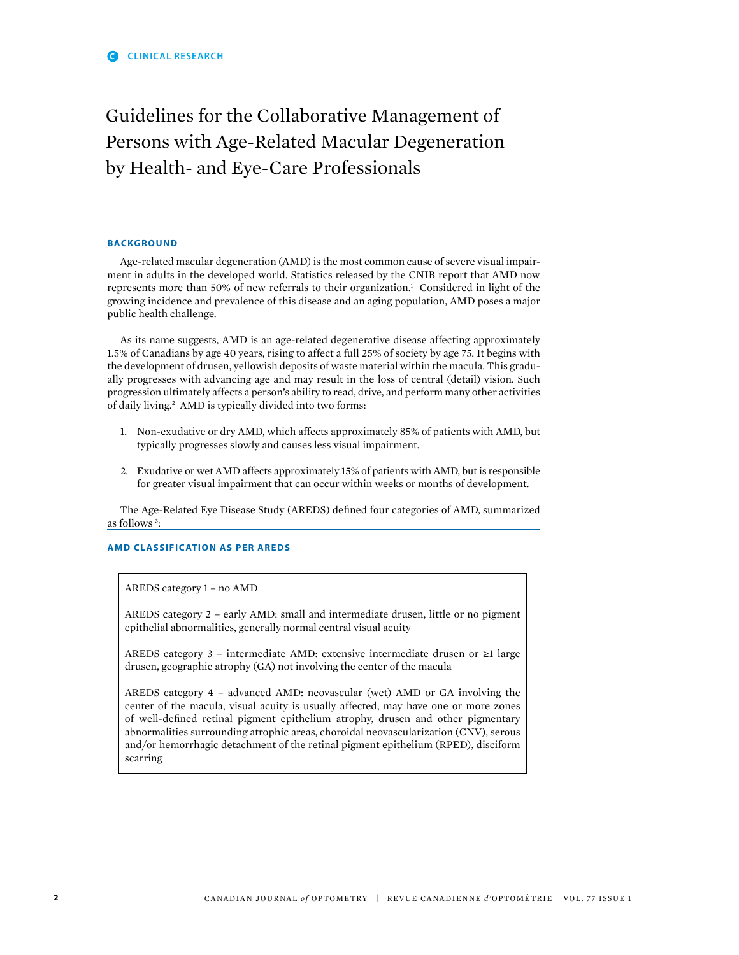# Guidelines for the Collaborative Management of Persons with Age-Related Macular Degeneration by Health- and Eye-Care Professionals

## **BACKGROUND**

Age-related macular degeneration (AMD) is the most common cause of severe visual impairment in adults in the developed world. Statistics released by the CNIB report that AMD now represents more than 50% of new referrals to their organization.<sup>1</sup> Considered in light of the growing incidence and prevalence of this disease and an aging population, AMD poses a major public health challenge.

As its name suggests, AMD is an age-related degenerative disease affecting approximately 1.5% of Canadians by age 40 years, rising to affect a full 25% of society by age 75. it begins with the development of drusen, yellowish deposits of waste material within the macula. This gradually progresses with advancing age and may result in the loss of central (detail) vision. such progression ultimately affects a person's ability to read, drive, and perform many other activities of daily living.<sup>2</sup> AMD is typically divided into two forms:

- 1. non-exudative or dry AMD, which affects approximately 85% of patients with AMD, but typically progresses slowly and causes less visual impairment.
- 2. Exudative or wet AMD affects approximately 15% of patients with AMD, but is responsible for greater visual impairment that can occur within weeks or months of development.

The Age-Related Eye Disease Study (AREDS) defned four categories of AMD, summarized as follows 3 :

# **AMD CLASSIFICATION AS PER AREDS**

AREDs category 1 – no AMD

AREDs category 2 – early AMD: small and intermediate drusen, little or no pigment epithelial abnormalities, generally normal central visual acuity

AREDs category 3 – intermediate AMD: extensive intermediate drusen or ≥1 large drusen, geographic atrophy (GA) not involving the center of the macula

AREDs category 4 – advanced AMD: neovascular (wet) AMD or GA involving the center of the macula, visual acuity is usually affected, may have one or more zones of well-defned retinal pigment epithelium atrophy, drusen and other pigmentary abnormalities surrounding atrophic areas, choroidal neovascularization (Cnv), serous and/or hemorrhagic detachment of the retinal pigment epithelium (RPED), disciform scarring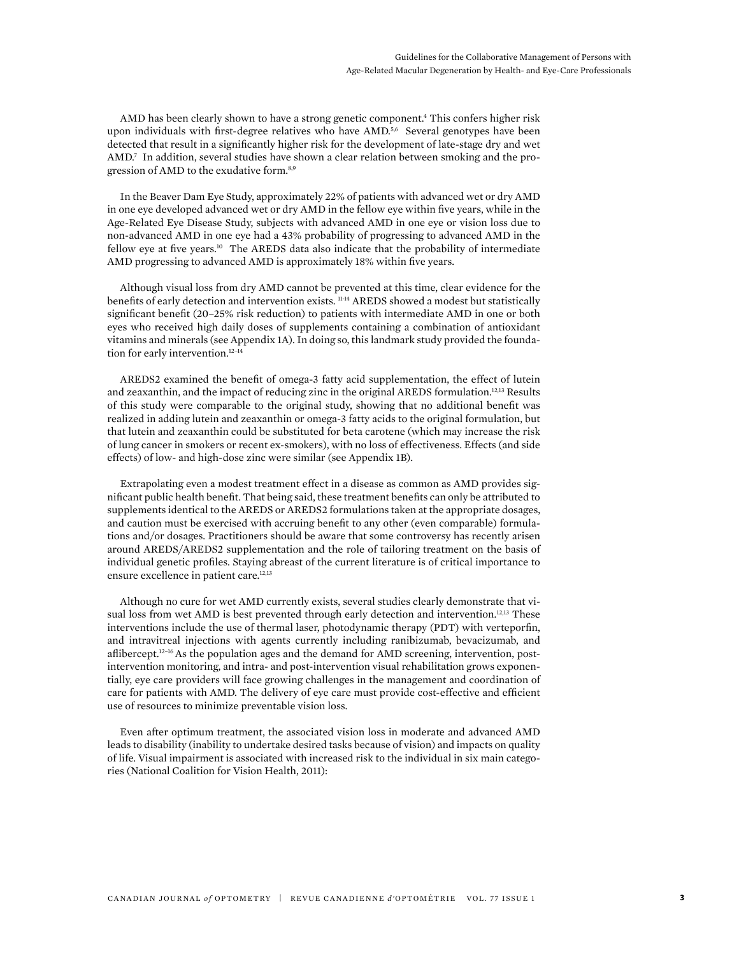AMD has been clearly shown to have a strong genetic component.<sup>4</sup> This confers higher risk upon individuals with first-degree relatives who have  $\text{AMD}^{5,6}$  Several genotypes have been detected that result in a signifcantly higher risk for the development of late-stage dry and wet AMD.<sup>7</sup> In addition, several studies have shown a clear relation between smoking and the progression of AMD to the exudative form.8,9

in the Beaver Dam Eye study, approximately 22% of patients with advanced wet or dry AMD in one eye developed advanced wet or dry AMD in the fellow eye within fve years, while in the Age-Related Eye Disease study, subjects with advanced AMD in one eye or vision loss due to non-advanced AMD in one eye had a 43% probability of progressing to advanced AMD in the fellow eye at five years.<sup>10</sup> The AREDS data also indicate that the probability of intermediate AMD progressing to advanced AMD is approximately 18% within fve years.

Although visual loss from dry AMD cannot be prevented at this time, clear evidence for the benefits of early detection and intervention exists. <sup>11-14</sup> AREDS showed a modest but statistically signifcant beneft (20–25% risk reduction) to patients with intermediate AMD in one or both eyes who received high daily doses of supplements containing a combination of antioxidant vitamins and minerals (see Appendix 1A). in doing so, this landmark study provided the foundation for early intervention.<sup>12-14</sup>

AREDS2 examined the beneft of omega-3 fatty acid supplementation, the effect of lutein and zeaxanthin, and the impact of reducing zinc in the original AREDs formulation.12,13 Results of this study were comparable to the original study, showing that no additional beneft was realized in adding lutein and zeaxanthin or omega-3 fatty acids to the original formulation, but that lutein and zeaxanthin could be substituted for beta carotene (which may increase the risk of lung cancer in smokers or recent ex-smokers), with no loss of effectiveness. Effects (and side effects) of low- and high-dose zinc were similar (see Appendix 1B).

Extrapolating even a modest treatment effect in a disease as common as AMD provides signifcant public health beneft. That being said, these treatment benefts can only be attributed to supplements identical to the AREDS or AREDS2 formulations taken at the appropriate dosages, and caution must be exercised with accruing beneft to any other (even comparable) formulations and/or dosages. Practitioners should be aware that some controversy has recently arisen around AREDs/AREDs2 supplementation and the role of tailoring treatment on the basis of individual genetic profles. Staying abreast of the current literature is of critical importance to ensure excellence in patient care.<sup>12,13</sup>

Although no cure for wet AMD currently exists, several studies clearly demonstrate that visual loss from wet AMD is best prevented through early detection and intervention.<sup>12,13</sup> These interventions include the use of thermal laser, photodynamic therapy (PDT) with verteporfn, and intravitreal injections with agents currently including ranibizumab, bevacizumab, and afibercept.12–16 As the population ages and the demand for AMD screening, intervention, postintervention monitoring, and intra- and post-intervention visual rehabilitation grows exponentially, eye care providers will face growing challenges in the management and coordination of care for patients with AMD. The delivery of eye care must provide cost-effective and effcient use of resources to minimize preventable vision loss.

Even after optimum treatment, the associated vision loss in moderate and advanced AMD leads to disability (inability to undertake desired tasks because of vision) and impacts on quality of life. visual impairment is associated with increased risk to the individual in six main categories (national Coalition for vision Health, 2011):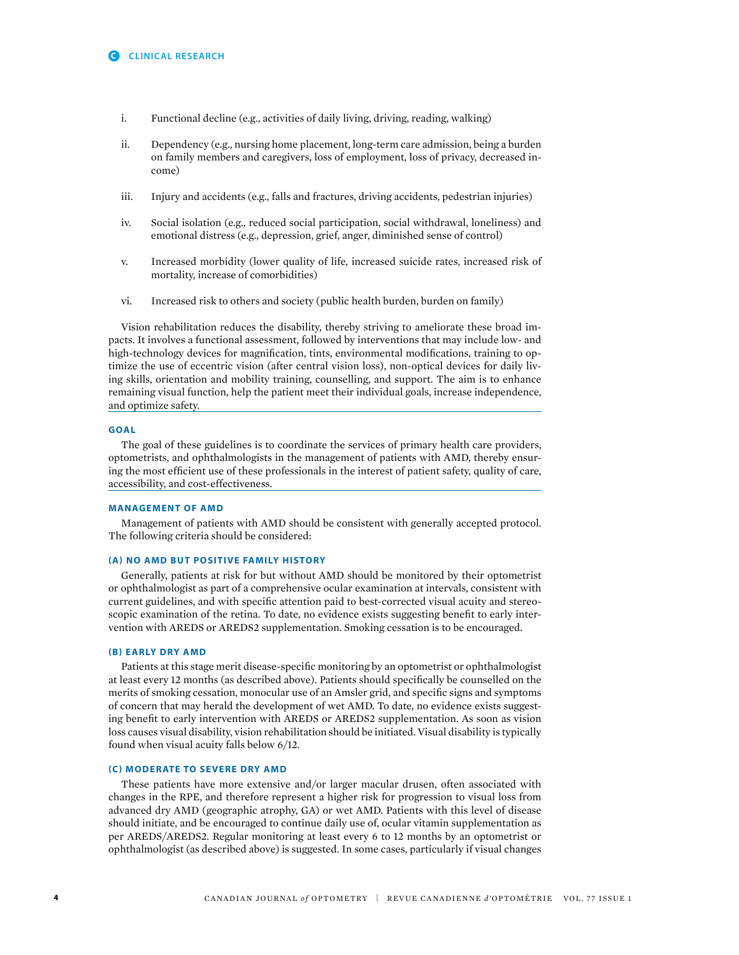- i. Functional decline (e.g., activities of daily living, driving, reading, walking)
- ii. Dependency (e.g., nursing home placement, long-term care admission, being a burden on family members and caregivers, loss of employment, loss of privacy, decreased income)
- iii. Injury and accidents (e.g., falls and fractures, driving accidents, pedestrian injuries)
- iv. social isolation (e.g., reduced social participation, social withdrawal, loneliness) and emotional distress (e.g., depression, grief, anger, diminished sense of control)
- v. increased morbidity (lower quality of life, increased suicide rates, increased risk of mortality, increase of comorbidities)
- vi. Increased risk to others and society (public health burden, burden on family)

vision rehabilitation reduces the disability, thereby striving to ameliorate these broad impacts. it involves a functional assessment, followed by interventions that may include low- and high-technology devices for magnifcation, tints, environmental modifcations, training to optimize the use of eccentric vision (after central vision loss), non-optical devices for daily living skills, orientation and mobility training, counselling, and support. the aim is to enhance remaining visual function, help the patient meet their individual goals, increase independence, and optimize safety.

## **GOAL**

the goal of these guidelines is to coordinate the services of primary health care providers, optometrists, and ophthalmologists in the management of patients with AMD, thereby ensuring the most effcient use of these professionals in the interest of patient safety, quality of care, accessibility, and cost-effectiveness.

## **MANAGEMENT OF AMD**

Management of patients with AMD should be consistent with generally accepted protocol. The following criteria should be considered:

#### **(A) NO AMD BUT POSITIVE FAMILY HISTORY**

Generally, patients at risk for but without AMD should be monitored by their optometrist or ophthalmologist as part of a comprehensive ocular examination at intervals, consistent with current guidelines, and with specifc attention paid to best-corrected visual acuity and stereoscopic examination of the retina. To date, no evidence exists suggesting beneft to early intervention with AREDs or AREDs2 supplementation. smoking cessation is to be encouraged.

#### **(B) EARLY DRY AMD**

Patients at this stage merit disease-specifc monitoring by an optometrist or ophthalmologist at least every 12 months (as described above). Patients should specifcally be counselled on the merits of smoking cessation, monocular use of an Amsler grid, and specifc signs and symptoms of concern that may herald the development of wet AMD. To date, no evidence exists suggesting beneft to early intervention with AREDS or AREDS2 supplementation. As soon as vision loss causes visual disability, vision rehabilitation should be initiated. visual disability is typically found when visual acuity falls below 6/12.

### **(C) MODERATE TO SEVERE DRY AMD**

these patients have more extensive and/or larger macular drusen, often associated with changes in the RPE, and therefore represent a higher risk for progression to visual loss from advanced dry AMD (geographic atrophy, GA) or wet AMD. Patients with this level of disease should initiate, and be encouraged to continue daily use of, ocular vitamin supplementation as per AREDs/AREDs2. Regular monitoring at least every 6 to 12 months by an optometrist or ophthalmologist (as described above) is suggested. in some cases, particularly if visual changes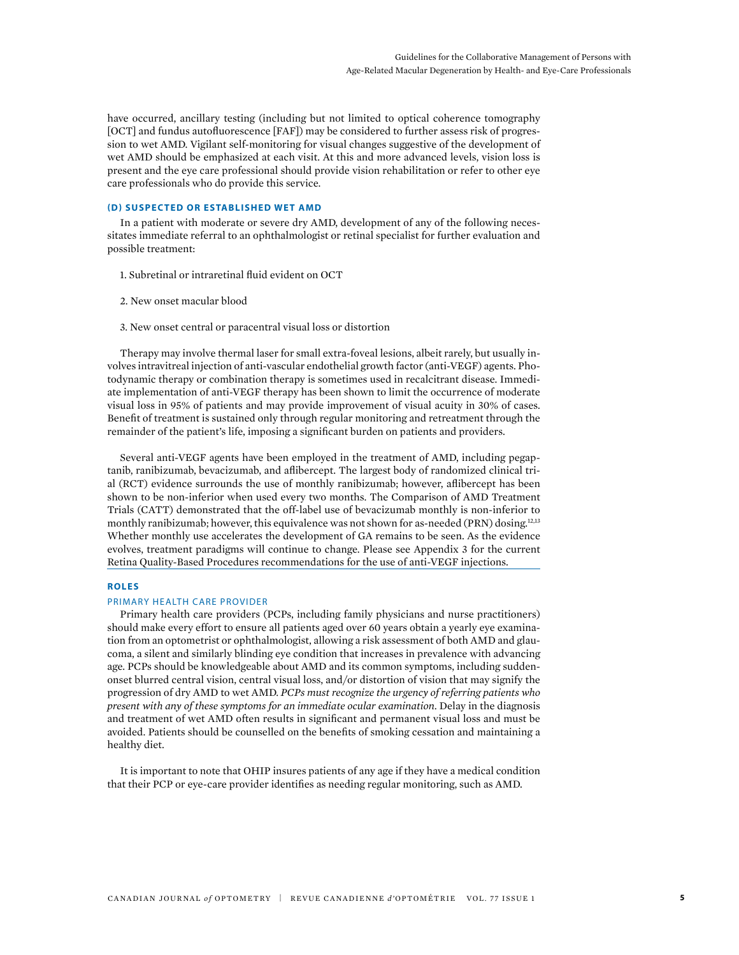have occurred, ancillary testing (including but not limited to optical coherence tomography [OCT] and fundus autofluorescence [FAF]) may be considered to further assess risk of progression to wet AMD. vigilant self-monitoring for visual changes suggestive of the development of wet AMD should be emphasized at each visit. At this and more advanced levels, vision loss is present and the eye care professional should provide vision rehabilitation or refer to other eye care professionals who do provide this service.

# **(D) SUSPECTED OR ESTABLISHED WET AMD**

In a patient with moderate or severe dry AMD, development of any of the following necessitates immediate referral to an ophthalmologist or retinal specialist for further evaluation and possible treatment:

- 1. Subretinal or intraretinal fuid evident on OCT
- 2. new onset macular blood
- 3. new onset central or paracentral visual loss or distortion

therapy may involve thermal laser for small extra-foveal lesions, albeit rarely, but usually involves intravitreal injection of anti-vascular endothelial growth factor (anti-vEGF) agents. Photodynamic therapy or combination therapy is sometimes used in recalcitrant disease. immediate implementation of anti-vEGF therapy has been shown to limit the occurrence of moderate visual loss in 95% of patients and may provide improvement of visual acuity in 30% of cases. Beneft of treatment is sustained only through regular monitoring and retreatment through the remainder of the patient's life, imposing a signifcant burden on patients and providers.

several anti-vEGF agents have been employed in the treatment of AMD, including pegaptanib, ranibizumab, bevacizumab, and afibercept. The largest body of randomized clinical trial (RCT) evidence surrounds the use of monthly ranibizumab; however, afibercept has been shown to be non-inferior when used every two months. The Comparison of AMD Treatment trials (CAtt) demonstrated that the off-label use of bevacizumab monthly is non-inferior to monthly ranibizumab; however, this equivalence was not shown for as-needed (PRN) dosing.<sup>12,13</sup> Whether monthly use accelerates the development of GA remains to be seen. As the evidence evolves, treatment paradigms will continue to change. Please see Appendix 3 for the current Retina Quality-Based Procedures recommendations for the use of anti-vEGF injections.

#### **ROLES**

#### PRIMARY HEALTH CARE PROVIDER

Primary health care providers (PCPs, including family physicians and nurse practitioners) should make every effort to ensure all patients aged over 60 years obtain a yearly eye examination from an optometrist or ophthalmologist, allowing a risk assessment of both AMD and glaucoma, a silent and similarly blinding eye condition that increases in prevalence with advancing age. PCPs should be knowledgeable about AMD and its common symptoms, including suddenonset blurred central vision, central visual loss, and/or distortion of vision that may signify the progression of dry AMD to wet AMD. *PCPs must recognize the urgency of referring patients who present with any of these symptoms for an immediate ocular examination.* Delay in the diagnosis and treatment of wet AMD often results in signifcant and permanent visual loss and must be avoided. Patients should be counselled on the benefts of smoking cessation and maintaining a healthy diet.

It is important to note that OHIP insures patients of any age if they have a medical condition that their PCP or eye-care provider identifes as needing regular monitoring, such as AMD.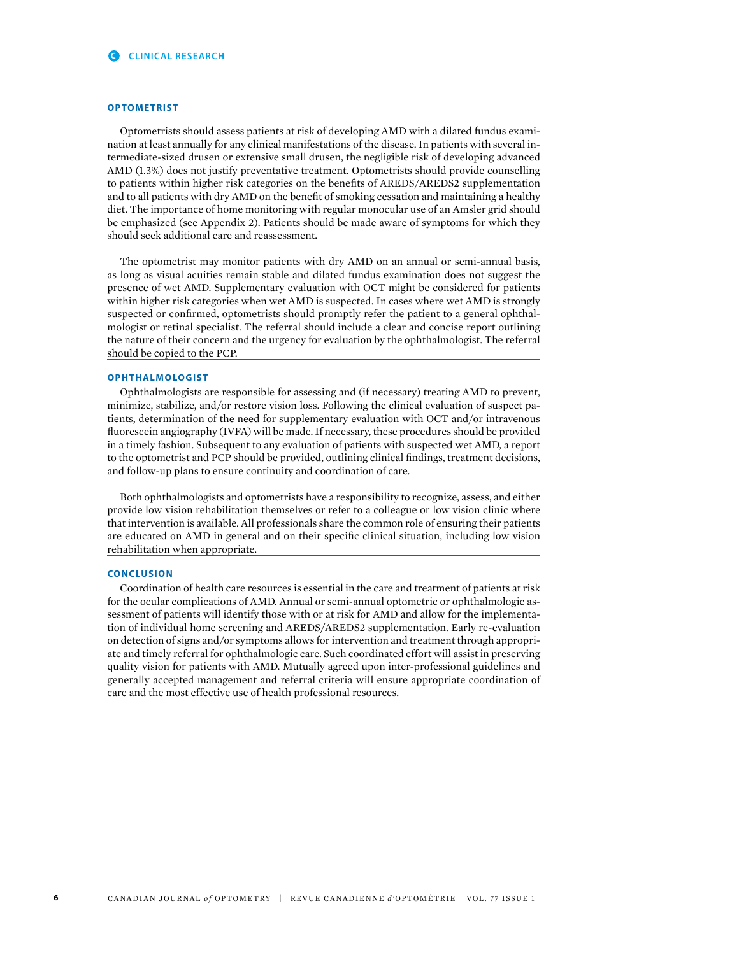#### **OPTOMETRIST**

optometrists should assess patients at risk of developing AMD with a dilated fundus examination at least annually for any clinical manifestations of the disease. in patients with several intermediate-sized drusen or extensive small drusen, the negligible risk of developing advanced AMD (1.3%) does not justify preventative treatment. optometrists should provide counselling to patients within higher risk categories on the benefts of AREDS/AREDS2 supplementation and to all patients with dry AMD on the beneft of smoking cessation and maintaining a healthy diet. the importance of home monitoring with regular monocular use of an Amsler grid should be emphasized (see Appendix 2). Patients should be made aware of symptoms for which they should seek additional care and reassessment.

The optometrist may monitor patients with dry AMD on an annual or semi-annual basis, as long as visual acuities remain stable and dilated fundus examination does not suggest the presence of wet AMD. Supplementary evaluation with OCT might be considered for patients within higher risk categories when wet AMD is suspected. in cases where wet AMD is strongly suspected or confrmed, optometrists should promptly refer the patient to a general ophthalmologist or retinal specialist. the referral should include a clear and concise report outlining the nature of their concern and the urgency for evaluation by the ophthalmologist. the referral should be copied to the PCP.

## **OPHTHALMOLOGIST**

ophthalmologists are responsible for assessing and (if necessary) treating AMD to prevent, minimize, stabilize, and/or restore vision loss. Following the clinical evaluation of suspect patients, determination of the need for supplementary evaluation with OCT and/or intravenous fuorescein angiography (IVFA) will be made. If necessary, these procedures should be provided in a timely fashion. subsequent to any evaluation of patients with suspected wet AMD, a report to the optometrist and PCP should be provided, outlining clinical fndings, treatment decisions, and follow-up plans to ensure continuity and coordination of care.

Both ophthalmologists and optometrists have a responsibility to recognize, assess, and either provide low vision rehabilitation themselves or refer to a colleague or low vision clinic where that intervention is available. All professionals share the common role of ensuring their patients are educated on AMD in general and on their specifc clinical situation, including low vision rehabilitation when appropriate.

#### **CONCLUSION**

Coordination of health care resources is essential in the care and treatment of patients at risk for the ocular complications of AMD. Annual or semi-annual optometric or ophthalmologic assessment of patients will identify those with or at risk for AMD and allow for the implementation of individual home screening and AREDs/AREDs2 supplementation. Early re-evaluation on detection of signs and/or symptoms allows for intervention and treatment through appropriate and timely referral for ophthalmologic care. such coordinated effort will assist in preserving quality vision for patients with AMD. Mutually agreed upon inter-professional guidelines and generally accepted management and referral criteria will ensure appropriate coordination of care and the most effective use of health professional resources.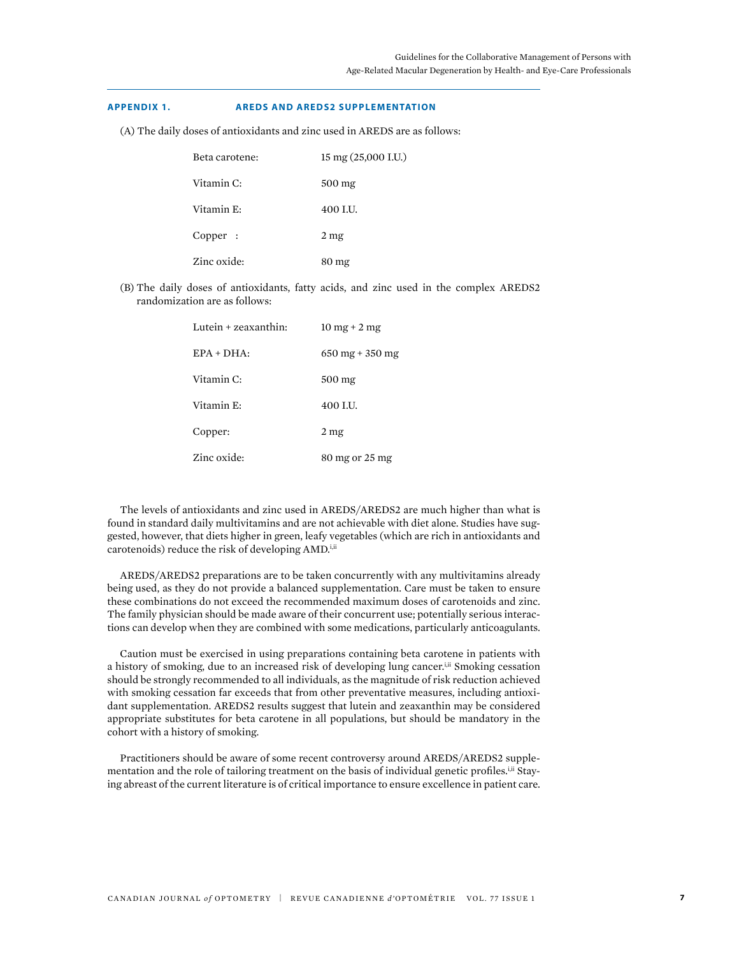## **APPENDIX 1. AREDS AND AREDS2 SUPPLEMENTATION**

(A) the daily doses of antioxidants and zinc used in AREDs are as follows:

| Beta carotene: | 15 mg (25,000 I.U.) |
|----------------|---------------------|
| Vitamin C:     | $500$ mg            |
| Vitamin E:     | 400 I.U.            |
| Copper :       | 2 <sub>mg</sub>     |
| Zinc oxide:    | 80 mg               |

(B) the daily doses of antioxidants, fatty acids, and zinc used in the complex AREDs2 randomization are as follows:

| Lutein + zeaxanthin: | $10 \text{ mg} + 2 \text{ mg}$          |
|----------------------|-----------------------------------------|
| $EPA + DHA$ :        | $650 \,\mathrm{mg} + 350 \,\mathrm{mg}$ |
| Vitamin C:           | 500 mg                                  |
| Vitamin E:           | 400 I.U.                                |
| Copper:              | 2 <sub>mg</sub>                         |
| Zinc oxide:          | 80 mg or 25 mg                          |

the levels of antioxidants and zinc used in AREDs/AREDs2 are much higher than what is found in standard daily multivitamins and are not achievable with diet alone. studies have suggested, however, that diets higher in green, leafy vegetables (which are rich in antioxidants and carotenoids) reduce the risk of developing AMD.<sup>i,ii</sup>

AREDs/AREDs2 preparations are to be taken concurrently with any multivitamins already being used, as they do not provide a balanced supplementation. Care must be taken to ensure these combinations do not exceed the recommended maximum doses of carotenoids and zinc. the family physician should be made aware of their concurrent use; potentially serious interactions can develop when they are combined with some medications, particularly anticoagulants.

Caution must be exercised in using preparations containing beta carotene in patients with a history of smoking, due to an increased risk of developing lung cancer.<sup>i,ii</sup> Smoking cessation should be strongly recommended to all individuals, as the magnitude of risk reduction achieved with smoking cessation far exceeds that from other preventative measures, including antioxidant supplementation. AREDs2 results suggest that lutein and zeaxanthin may be considered appropriate substitutes for beta carotene in all populations, but should be mandatory in the cohort with a history of smoking.

Practitioners should be aware of some recent controversy around AREDs/AREDs2 supplementation and the role of tailoring treatment on the basis of individual genetic profiles.<sup>i,ii</sup> Staying abreast of the current literature is of critical importance to ensure excellence in patient care.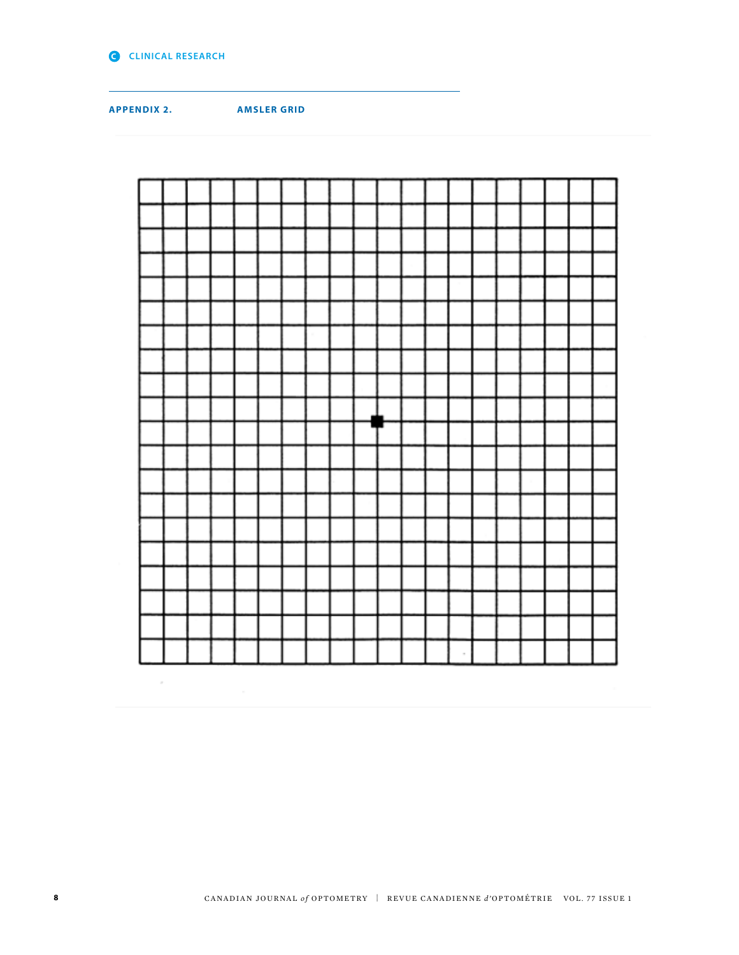

 $\alpha$ 

**APPENDIX 2. AMSLER GRID**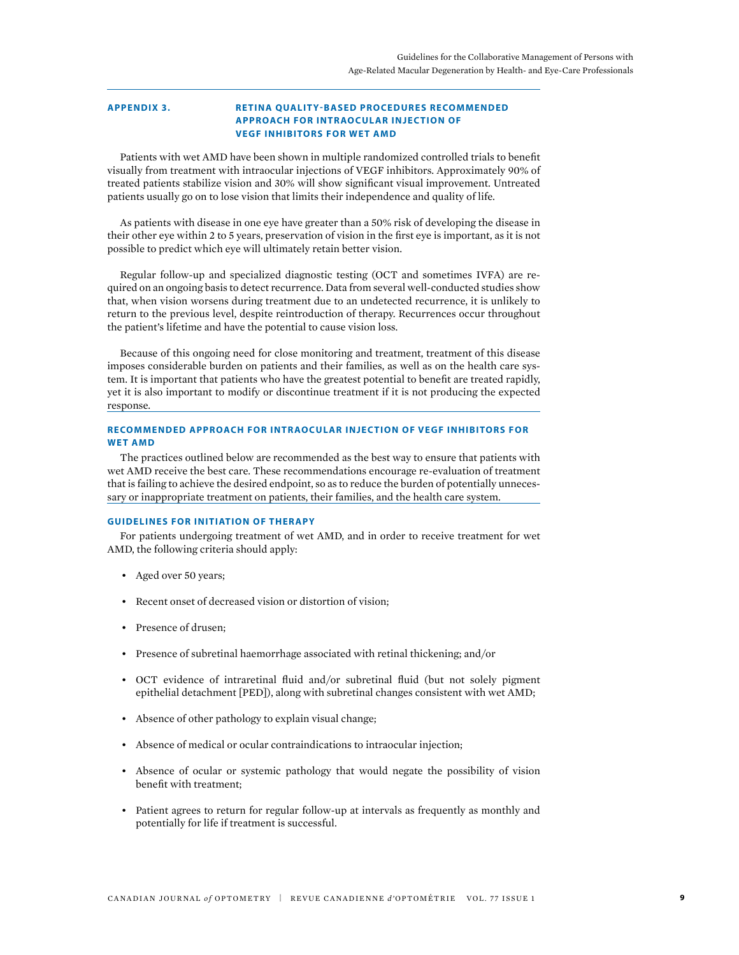# **APPENDIX 3. RETINA QUALITY-BASED PROCEDURES RECOMMENDED APPROACH FOR INTRAOCULAR INJEC TION OF VEGF INHIBITORS FOR WET AMD**

Patients with wet AMD have been shown in multiple randomized controlled trials to beneft visually from treatment with intraocular injections of vEGF inhibitors. Approximately 90% of treated patients stabilize vision and 30% will show signifcant visual improvement. Untreated patients usually go on to lose vision that limits their independence and quality of life.

As patients with disease in one eye have greater than a 50% risk of developing the disease in their other eye within 2 to 5 years, preservation of vision in the frst eye is important, as it is not possible to predict which eye will ultimately retain better vision.

Regular follow-up and specialized diagnostic testing (OCT and sometimes IVFA) are required on an ongoing basis to detect recurrence. Data from several well-conducted studies show that, when vision worsens during treatment due to an undetected recurrence, it is unlikely to return to the previous level, despite reintroduction of therapy. Recurrences occur throughout the patient's lifetime and have the potential to cause vision loss.

Because of this ongoing need for close monitoring and treatment, treatment of this disease imposes considerable burden on patients and their families, as well as on the health care system. It is important that patients who have the greatest potential to beneft are treated rapidly, yet it is also important to modify or discontinue treatment if it is not producing the expected response.

# **RECOMMENDED APPROACH FOR INTRAOCULAR INJECTION OF VEGF INHIBITORS FOR WET AMD**

The practices outlined below are recommended as the best way to ensure that patients with wet AMD receive the best care. These recommendations encourage re-evaluation of treatment that is failing to achieve the desired endpoint, so as to reduce the burden of potentially unnecessary or inappropriate treatment on patients, their families, and the health care system.

## **GUIDELINES FOR INITIATION OF THERAPY**

For patients undergoing treatment of wet AMD, and in order to receive treatment for wet AMD, the following criteria should apply:

- Aged over 50 years;
- Recent onset of decreased vision or distortion of vision;
- Presence of drusen;
- Presence of subretinal haemorrhage associated with retinal thickening; and/or
- OCT evidence of intraretinal fuid and/or subretinal fuid (but not solely pigment epithelial detachment [PED]), along with subretinal changes consistent with wet AMD;
- Absence of other pathology to explain visual change;
- Absence of medical or ocular contraindications to intraocular injection;
- Absence of ocular or systemic pathology that would negate the possibility of vision beneft with treatment;
- Patient agrees to return for regular follow-up at intervals as frequently as monthly and potentially for life if treatment is successful.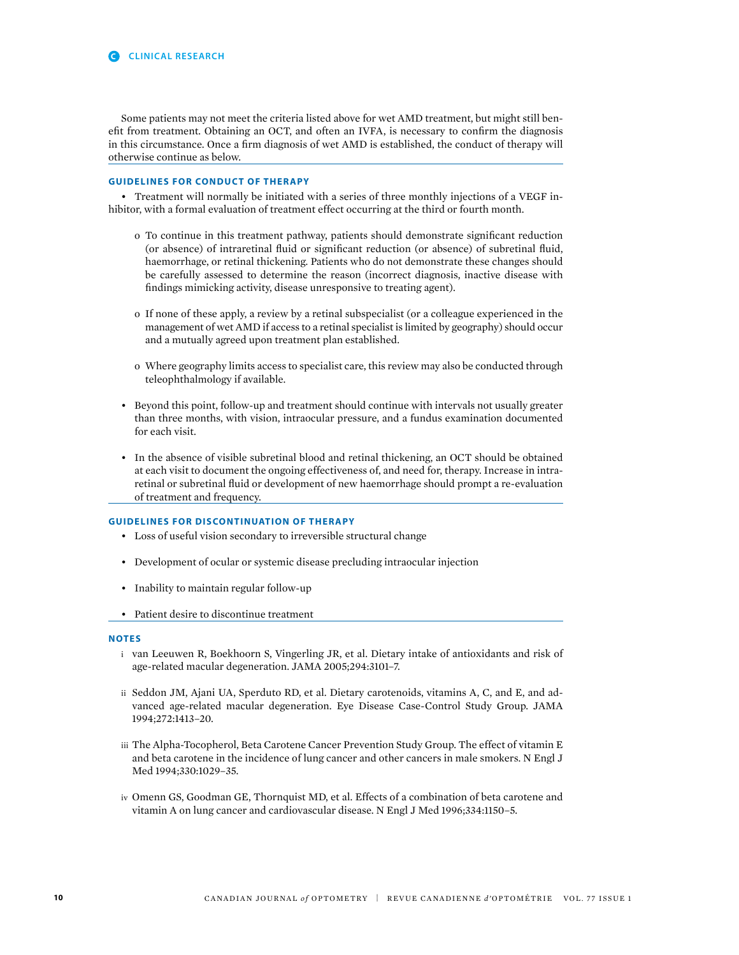some patients may not meet the criteria listed above for wet AMD treatment, but might still beneft from treatment. Obtaining an OCT, and often an IVFA, is necessary to confrm the diagnosis in this circumstance. Once a frm diagnosis of wet AMD is established, the conduct of therapy will otherwise continue as below.

# **GUIDELINES FOR CONDUCT OF THERAPY**

• Treatment will normally be initiated with a series of three monthly injections of a VEGF inhibitor, with a formal evaluation of treatment effect occurring at the third or fourth month.

- o To continue in this treatment pathway, patients should demonstrate signifcant reduction (or absence) of intraretinal fuid or signifcant reduction (or absence) of subretinal fuid, haemorrhage, or retinal thickening. Patients who do not demonstrate these changes should be carefully assessed to determine the reason (incorrect diagnosis, inactive disease with fndings mimicking activity, disease unresponsive to treating agent).
- o if none of these apply, a review by a retinal subspecialist (or a colleague experienced in the management of wet AMD if access to a retinal specialist is limited by geography) should occur and a mutually agreed upon treatment plan established.
- o Where geography limits access to specialist care, this review may also be conducted through teleophthalmology if available.
- Beyond this point, follow-up and treatment should continue with intervals not usually greater than three months, with vision, intraocular pressure, and a fundus examination documented for each visit.
- In the absence of visible subretinal blood and retinal thickening, an OCT should be obtained at each visit to document the ongoing effectiveness of, and need for, therapy. increase in intraretinal or subretinal fuid or development of new haemorrhage should prompt a re-evaluation of treatment and frequency.

#### **GUIDELINES FOR DISCONTINUATION OF THERAPY**

- Loss of useful vision secondary to irreversible structural change
- Development of ocular or systemic disease precluding intraocular injection
- Inability to maintain regular follow-up
- Patient desire to discontinue treatment

#### **NOTES**

- i van leeuwen R, Boekhoorn s, vingerling JR, et al. Dietary intake of antioxidants and risk of age-related macular degeneration. JAMA 2005;294:3101–7.
- ii seddon JM, Ajani uA, sperduto RD, et al. Dietary carotenoids, vitamins A, C, and E, and advanced age-related macular degeneration. Eye Disease Case-Control study Group. JAMA 1994;272:1413–20.
- iii The Alpha-Tocopherol, Beta Carotene Cancer Prevention Study Group. The effect of vitamin E and beta carotene in the incidence of lung cancer and other cancers in male smokers. n Engl J Med 1994;330:1029–35.
- iv Omenn GS, Goodman GE, Thornquist MD, et al. Effects of a combination of beta carotene and vitamin A on lung cancer and cardiovascular disease. n Engl J Med 1996;334:1150–5.